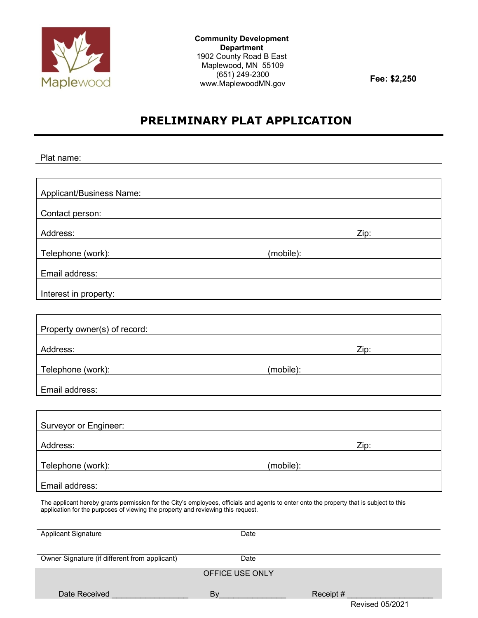

**Community Development Department** 1902 County Road B East Maplewood, MN 55109 (651) 249-2300 www.MaplewoodMN.gov **Fee: \$2,250**

Revised 05/2021

# **PRELIMINARY PLAT APPLICATION**

| Plat name:                                                                                                                                                                                                                                                |      |           |
|-----------------------------------------------------------------------------------------------------------------------------------------------------------------------------------------------------------------------------------------------------------|------|-----------|
|                                                                                                                                                                                                                                                           |      |           |
| <b>Applicant/Business Name:</b>                                                                                                                                                                                                                           |      |           |
| Contact person:                                                                                                                                                                                                                                           |      |           |
| Address:                                                                                                                                                                                                                                                  |      | Zip:      |
| Telephone (work): <u>contract and the contract of the contract of the contract of the contract of the contract of the contract of the contract of the contract of the contract of the contract of the contract of the contract o</u>                      |      | (mobile): |
| Email address:                                                                                                                                                                                                                                            |      |           |
| Interest in property:                                                                                                                                                                                                                                     |      |           |
|                                                                                                                                                                                                                                                           |      |           |
| Property owner(s) of record:                                                                                                                                                                                                                              |      |           |
| Address:                                                                                                                                                                                                                                                  |      | Zip:      |
| Telephone (work): Telephone (work):                                                                                                                                                                                                                       |      | (mobile): |
| Email address:                                                                                                                                                                                                                                            |      |           |
|                                                                                                                                                                                                                                                           |      |           |
| Surveyor or Engineer:                                                                                                                                                                                                                                     |      |           |
| Address:                                                                                                                                                                                                                                                  |      | Zip:      |
| Telephone (work):<br><u>and the state of the state of the state of the state of the state of the state of the state of the state of the state of the state of the state of the state of the state of the state of the state of the state of the state</u> |      | (mobile): |
| Email address:                                                                                                                                                                                                                                            |      |           |
| The applicant hereby grants permission for the City's employees, officials and agents to enter onto the property that is subject to this<br>application for the purposes of viewing the property and reviewing this request.                              |      |           |
| <b>Applicant Signature</b>                                                                                                                                                                                                                                | Date |           |
|                                                                                                                                                                                                                                                           |      |           |
| Owner Signature (if different from applicant)                                                                                                                                                                                                             | Date |           |
| OFFICE USE ONLY                                                                                                                                                                                                                                           |      |           |
| Date Received                                                                                                                                                                                                                                             | By   | Receipt # |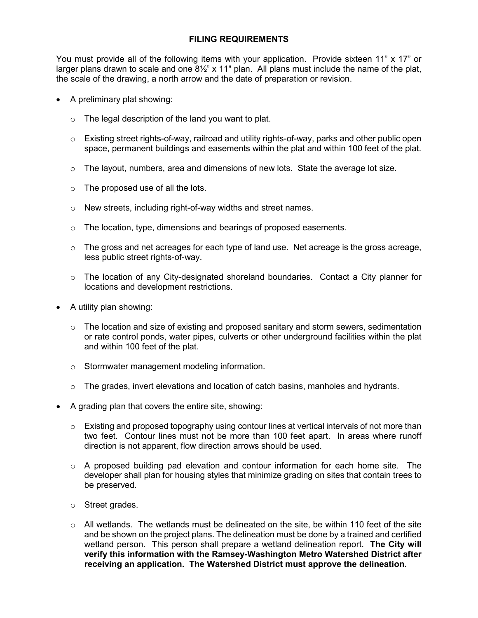## **FILING REQUIREMENTS**

You must provide all of the following items with your application. Provide sixteen 11" x 17" or larger plans drawn to scale and one  $8\frac{1}{2}$ " x 11" plan. All plans must include the name of the plat, the scale of the drawing, a north arrow and the date of preparation or revision.

- A preliminary plat showing:
	- $\circ$  The legal description of the land you want to plat.
	- $\circ$  Existing street rights-of-way, railroad and utility rights-of-way, parks and other public open space, permanent buildings and easements within the plat and within 100 feet of the plat.
	- $\circ$  The layout, numbers, area and dimensions of new lots. State the average lot size.
	- $\circ$  The proposed use of all the lots.
	- o New streets, including right-of-way widths and street names.
	- $\circ$  The location, type, dimensions and bearings of proposed easements.
	- $\circ$  The gross and net acreages for each type of land use. Net acreage is the gross acreage, less public street rights-of-way.
	- o The location of any City-designated shoreland boundaries. Contact a City planner for locations and development restrictions.
- A utility plan showing:
	- o The location and size of existing and proposed sanitary and storm sewers, sedimentation or rate control ponds, water pipes, culverts or other underground facilities within the plat and within 100 feet of the plat.
	- o Stormwater management modeling information.
	- $\circ$  The grades, invert elevations and location of catch basins, manholes and hydrants.
- A grading plan that covers the entire site, showing:
	- $\circ$  Existing and proposed topography using contour lines at vertical intervals of not more than two feet. Contour lines must not be more than 100 feet apart. In areas where runoff direction is not apparent, flow direction arrows should be used.
	- $\circ$  A proposed building pad elevation and contour information for each home site. The developer shall plan for housing styles that minimize grading on sites that contain trees to be preserved.
	- o Street grades.
	- $\circ$  All wetlands. The wetlands must be delineated on the site, be within 110 feet of the site and be shown on the project plans. The delineation must be done by a trained and certified wetland person. This person shall prepare a wetland delineation report. **The City will verify this information with the Ramsey-Washington Metro Watershed District after receiving an application. The Watershed District must approve the delineation.**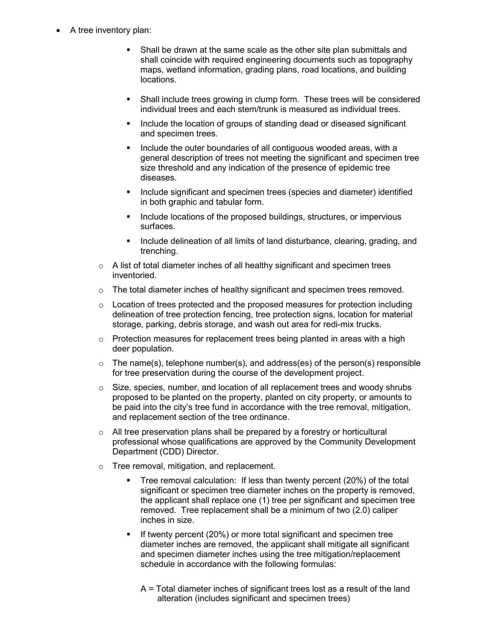- A tree inventory plan:
	- Shall be drawn at the same scale as the other site plan submittals and shall coincide with required engineering documents such as topography maps, wetland information, grading plans, road locations, and building locations.
	- Shall include trees growing in clump form. These trees will be considered individual trees and each stem/trunk is measured as individual trees.
	- Include the location of groups of standing dead or diseased significant and specimen trees.
	- Include the outer boundaries of all contiguous wooded areas, with a general description of trees not meeting the significant and specimen tree size threshold and any indication of the presence of epidemic tree diseases.
	- Include significant and specimen trees (species and diameter) identified in both graphic and tabular form.
	- Include locations of the proposed buildings, structures, or impervious surfaces.
	- Include delineation of all limits of land disturbance, clearing, grading, and trenching.
	- $\circ$  A list of total diameter inches of all healthy significant and specimen trees inventoried.
	- $\circ$  The total diameter inches of healthy significant and specimen trees removed.
	- $\circ$  Location of trees protected and the proposed measures for protection including delineation of tree protection fencing, tree protection signs, location for material storage, parking, debris storage, and wash out area for redi-mix trucks.
	- $\circ$  Protection measures for replacement trees being planted in areas with a high deer population.
	- $\circ$  The name(s), telephone number(s), and address(es) of the person(s) responsible for tree preservation during the course of the development project.
	- $\circ$  Size, species, number, and location of all replacement trees and woody shrubs proposed to be planted on the property, planted on city property, or amounts to be paid into the city's tree fund in accordance with the tree removal, mitigation, and replacement section of the tree ordinance.
	- o All tree preservation plans shall be prepared by a forestry or horticultural professional whose qualifications are approved by the Community Development Department (CDD) Director.
	- o Tree removal, mitigation, and replacement.
		- Tree removal calculation: If less than twenty percent (20%) of the total significant or specimen tree diameter inches on the property is removed, the applicant shall replace one (1) tree per significant and specimen tree removed. Tree replacement shall be a minimum of two (2.0) caliper inches in size.
		- If twenty percent (20%) or more total significant and specimen tree diameter inches are removed, the applicant shall mitigate all significant and specimen diameter inches using the tree mitigation/replacement schedule in accordance with the following formulas:
			- A = Total diameter inches of significant trees lost as a result of the land alteration (includes significant and specimen trees)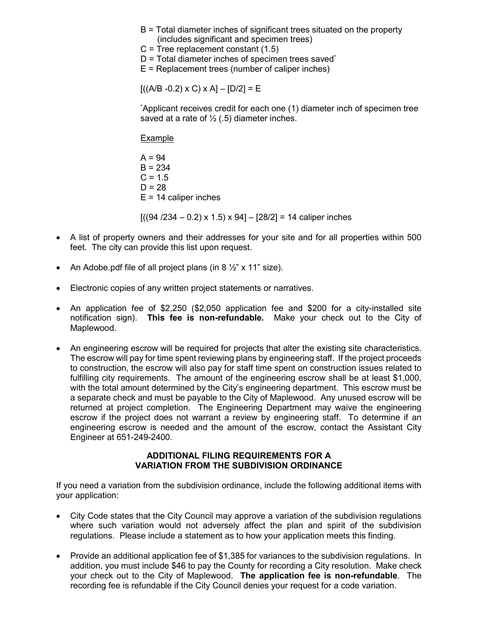- B = Total diameter inches of significant trees situated on the property (includes significant and specimen trees)
- $C$  = Tree replacement constant  $(1.5)$
- $D = Total diameter$  inches of specimen trees saved\*

 $E$  = Replacement trees (number of caliper inches)

 $[( (A/B -0.2) \times C) \times A] - [D/2] = E$ 

\* Applicant receives credit for each one (1) diameter inch of specimen tree saved at a rate of  $\frac{1}{2}$  (.5) diameter inches.

Example

 $A = 94$  $B = 234$  $C = 1.5$  $D = 28$  $E = 14$  caliper inches

 $[(94 / 234 - 0.2) \times 1.5) \times 94] - [28/2] = 14$  caliper inches

- A list of property owners and their addresses for your site and for all properties within 500 feet. The city can provide this list upon request.
- An Adobe.pdf file of all project plans (in 8 ½" x 11" size).
- Electronic copies of any written project statements or narratives.
- An application fee of \$2,250 (\$2,050 application fee and \$200 for a city-installed site notification sign). **This fee is non-refundable.** Make your check out to the City of Maplewood.
- An engineering escrow will be required for projects that alter the existing site characteristics. The escrow will pay for time spent reviewing plans by engineering staff. If the project proceeds to construction, the escrow will also pay for staff time spent on construction issues related to fulfilling city requirements. The amount of the engineering escrow shall be at least \$1,000, with the total amount determined by the City's engineering department. This escrow must be a separate check and must be payable to the City of Maplewood. Any unused escrow will be returned at project completion. The Engineering Department may waive the engineering escrow if the project does not warrant a review by engineering staff. To determine if an engineering escrow is needed and the amount of the escrow, contact the Assistant City Engineer at 651-249-2400.

### **ADDITIONAL FILING REQUIREMENTS FOR A VARIATION FROM THE SUBDIVISION ORDINANCE**

If you need a variation from the subdivision ordinance, include the following additional items with your application:

- City Code states that the City Council may approve a variation of the subdivision regulations where such variation would not adversely affect the plan and spirit of the subdivision regulations. Please include a statement as to how your application meets this finding.
- Provide an additional application fee of \$1,385 for variances to the subdivision regulations. In addition, you must include \$46 to pay the County for recording a City resolution. Make check your check out to the City of Maplewood. **The application fee is non-refundable**. The recording fee is refundable if the City Council denies your request for a code variation.